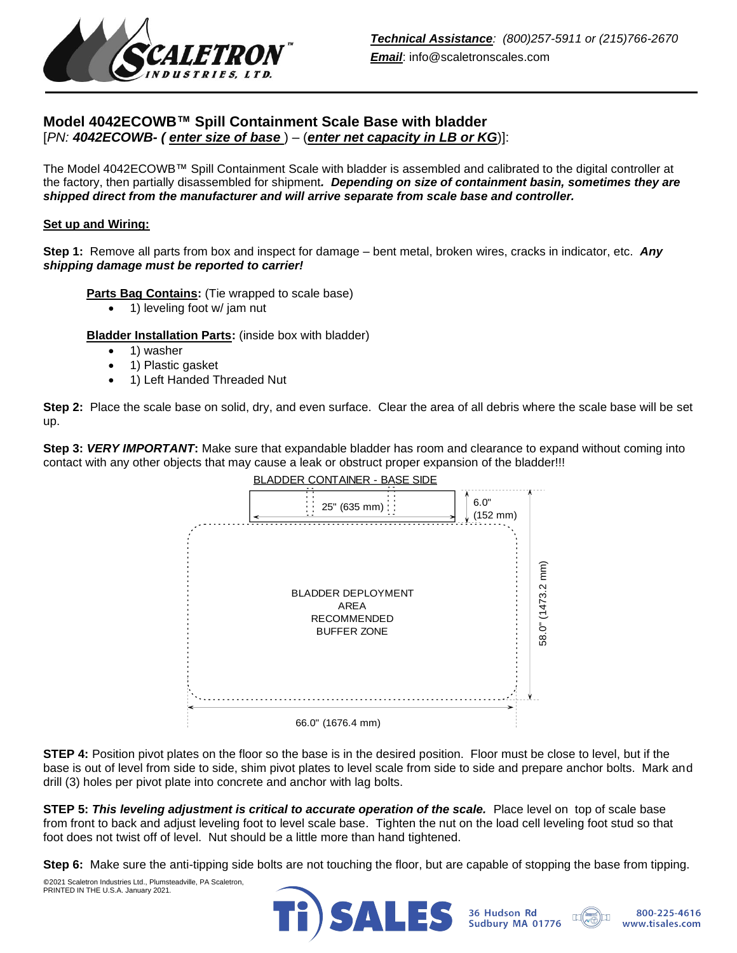

# **Model 4042ECOWB™ Spill Containment Scale Base with bladder** [*PN: 4042ECOWB- ( enter size of base* ) – (*enter net capacity in LB or KG*)]:

The Model 4042ECOWB™ Spill Containment Scale with bladder is assembled and calibrated to the digital controller at the factory, then partially disassembled for shipment*. Depending on size of containment basin, sometimes they are shipped direct from the manufacturer and will arrive separate from scale base and controller.*

### **Set up and Wiring:**

**Step 1:** Remove all parts from box and inspect for damage – bent metal, broken wires, cracks in indicator, etc. *Any shipping damage must be reported to carrier!*

**Parts Bag Contains:** (Tie wrapped to scale base)

• 1) leveling foot w/ jam nut

**Bladder Installation Parts:** (inside box with bladder)

- 1) washer
- 1) Plastic gasket
- 1) Left Handed Threaded Nut

**Step 2:** Place the scale base on solid, dry, and even surface. Clear the area of all debris where the scale base will be set up.

**Step 3: VERY IMPORTANT:** Make sure that expandable bladder has room and clearance to expand without coming into contact with any other objects that may cause a leak or obstruct proper expansion of the bladder!!!



**STEP 4:** Position pivot plates on the floor so the base is in the desired position. Floor must be close to level, but if the base is out of level from side to side, shim pivot plates to level scale from side to side and prepare anchor bolts. Mark and drill (3) holes per pivot plate into concrete and anchor with lag bolts.

**STEP 5:** *This leveling adjustment is critical to accurate operation of the scale.* Place level on top of scale base from front to back and adjust leveling foot to level scale base. Tighten the nut on the load cell leveling foot stud so that foot does not twist off of level. Nut should be a little more than hand tightened.

**Step 6:** Make sure the anti-tipping side bolts are not touching the floor, but are capable of stopping the base from tipping.

©2021 Scaletron Industries Ltd., Plumsteadville, PA Scaletron, PRINTED IN THE U.S.A. January 2021.